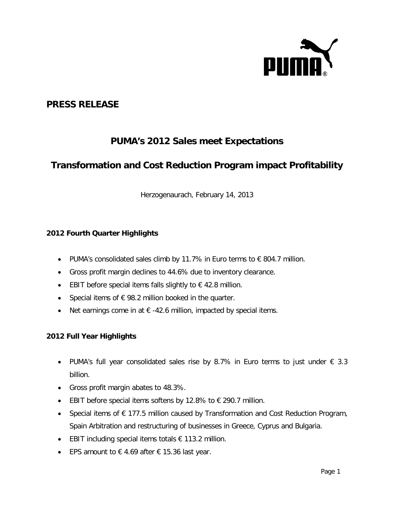

# **PRESS RELEASE**

# **PUMA's 2012 Sales meet Expectations**

# **Transformation and Cost Reduction Program impact Profitability**

Herzogenaurach, February 14, 2013

## **2012 Fourth Quarter Highlights**

- PUMA's consolidated sales climb by 11.7% in Euro terms to  $\epsilon$  804.7 million.
- Gross profit margin declines to 44.6% due to inventory clearance.
- EBIT before special items falls slightly to  $\epsilon$  42.8 million.
- Special items of  $\epsilon$  98.2 million booked in the quarter.
- Net earnings come in at  $\epsilon$  -42.6 million, impacted by special items.

## **2012 Full Year Highlights**

- PUMA's full year consolidated sales rise by 8.7% in Euro terms to just under  $\epsilon$  3.3 billion.
- Gross profit margin abates to 48.3%.
- EBIT before special items softens by 12.8% to  $€$  290.7 million.
- Special items of € 177.5 million caused by Transformation and Cost Reduction Program, Spain Arbitration and restructuring of businesses in Greece, Cyprus and Bulgaria.
- EBIT including special items totals  $€ 113.2$  million.
- EPS amount to  $\epsilon$  4.69 after  $\epsilon$  15.36 last year.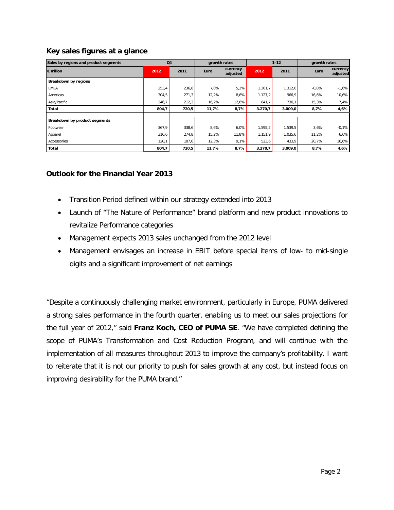## **Key sales figures at a glance**

| Sales by regions and product segments | Q <sub>4</sub> |       | growth rates |                      | $1 - 12$ |         | growth rates |                      |
|---------------------------------------|----------------|-------|--------------|----------------------|----------|---------|--------------|----------------------|
| $\epsilon$ million                    | 2012           | 2011  | <b>Euro</b>  | currency<br>adjusted | 2012     | 2011    | Euro         | currency<br>adjusted |
| Breakdown by regions                  |                |       |              |                      |          |         |              |                      |
| <b>EMEA</b>                           | 253,4          | 236,8 | 7,0%         | 5,2%                 | 1.301,7  | 1.312,0 | $-0.8%$      | $-1,6%$              |
| Americas                              | 304,5          | 271,3 | 12,2%        | 8,6%                 | 1.127,2  | 966,9   | 16,6%        | 10,6%                |
| Asia/Pacific                          | 246,7          | 212,3 | 16,2%        | 12,6%                | 841,7    | 730,1   | 15,3%        | 7,4%                 |
| Total                                 | 804,7          | 720,5 | 11,7%        | 8,7%                 | 3.270,7  | 3.009,0 | 8,7%         | 4,6%                 |
|                                       |                |       |              |                      |          |         |              |                      |
| Breakdown by product segments         |                |       |              |                      |          |         |              |                      |
| Footwear                              | 367,9          | 338,6 | 8,6%         | 6,0%                 | 1.595,2  | 1.539,5 | 3,6%         | $-0,1%$              |
| Apparel                               | 316,6          | 274,8 | 15,2%        | 11,8%                | 1.151,9  | 1.035,6 | 11,2%        | 6,6%                 |
| Accessories                           | 120,1          | 107,0 | 12,3%        | 9,1%                 | 523,6    | 433,9   | 20,7%        | 16,6%                |
| Total                                 | 804,7          | 720,5 | 11,7%        | 8,7%                 | 3.270,7  | 3.009,0 | 8,7%         | 4,6%                 |

## **Outlook for the Financial Year 2013**

- Transition Period defined within our strategy extended into 2013
- Launch of "The Nature of Performance" brand platform and new product innovations to revitalize Performance categories
- Management expects 2013 sales unchanged from the 2012 level
- Management envisages an increase in EBIT before special items of low- to mid-single digits and a significant improvement of net earnings

"Despite a continuously challenging market environment, particularly in Europe, PUMA delivered a strong sales performance in the fourth quarter, enabling us to meet our sales projections for the full year of 2012," said **Franz Koch, CEO of PUMA SE**. "We have completed defining the scope of PUMA's Transformation and Cost Reduction Program, and will continue with the implementation of all measures throughout 2013 to improve the company's profitability. I want to reiterate that it is not our priority to push for sales growth at any cost, but instead focus on improving desirability for the PUMA brand."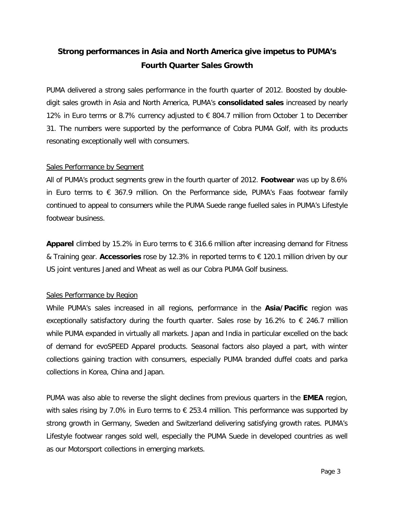# **Strong performances in Asia and North America give impetus to PUMA's Fourth Quarter Sales Growth**

PUMA delivered a strong sales performance in the fourth quarter of 2012. Boosted by doubledigit sales growth in Asia and North America, PUMA's **consolidated sales** increased by nearly 12% in Euro terms or 8.7% currency adjusted to € 804.7 million from October 1 to December 31. The numbers were supported by the performance of Cobra PUMA Golf, with its products resonating exceptionally well with consumers.

## Sales Performance by Segment

All of PUMA's product segments grew in the fourth quarter of 2012. **Footwear** was up by 8.6% in Euro terms to  $\epsilon$  367.9 million. On the Performance side, PUMA's Faas footwear family continued to appeal to consumers while the PUMA Suede range fuelled sales in PUMA's Lifestyle footwear business.

**Apparel** climbed by 15.2% in Euro terms to € 316.6 million after increasing demand for Fitness & Training gear. **Accessories** rose by 12.3% in reported terms to € 120.1 million driven by our US joint ventures Janed and Wheat as well as our Cobra PUMA Golf business.

## Sales Performance by Region

While PUMA's sales increased in all regions, performance in the **Asia/Pacific** region was exceptionally satisfactory during the fourth quarter. Sales rose by 16.2% to  $\epsilon$  246.7 million while PUMA expanded in virtually all markets. Japan and India in particular excelled on the back of demand for evoSPEED Apparel products. Seasonal factors also played a part, with winter collections gaining traction with consumers, especially PUMA branded duffel coats and parka collections in Korea, China and Japan.

PUMA was also able to reverse the slight declines from previous quarters in the **EMEA** region, with sales rising by 7.0% in Euro terms to  $\epsilon$  253.4 million. This performance was supported by strong growth in Germany, Sweden and Switzerland delivering satisfying growth rates. PUMA's Lifestyle footwear ranges sold well, especially the PUMA Suede in developed countries as well as our Motorsport collections in emerging markets.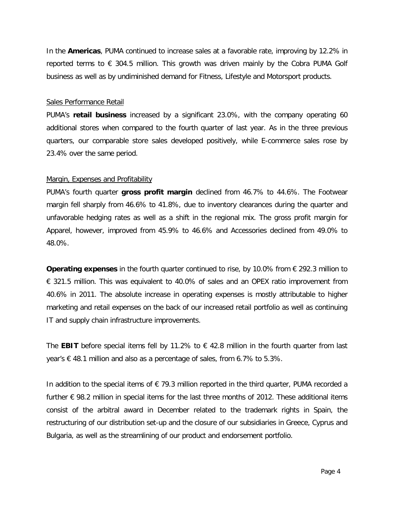In the **Americas**, PUMA continued to increase sales at a favorable rate, improving by 12.2% in reported terms to  $\epsilon$  304.5 million. This growth was driven mainly by the Cobra PUMA Golf business as well as by undiminished demand for Fitness, Lifestyle and Motorsport products.

#### Sales Performance Retail

PUMA's **retail business** increased by a significant 23.0%, with the company operating 60 additional stores when compared to the fourth quarter of last year. As in the three previous quarters, our comparable store sales developed positively, while E-commerce sales rose by 23.4% over the same period.

#### Margin, Expenses and Profitability

PUMA's fourth quarter **gross profit margin** declined from 46.7% to 44.6%. The Footwear margin fell sharply from 46.6% to 41.8%, due to inventory clearances during the quarter and unfavorable hedging rates as well as a shift in the regional mix. The gross profit margin for Apparel, however, improved from 45.9% to 46.6% and Accessories declined from 49.0% to 48.0%.

**Operating expenses** in the fourth quarter continued to rise, by 10.0% from € 292.3 million to € 321.5 million. This was equivalent to 40.0% of sales and an OPEX ratio improvement from 40.6% in 2011. The absolute increase in operating expenses is mostly attributable to higher marketing and retail expenses on the back of our increased retail portfolio as well as continuing IT and supply chain infrastructure improvements.

The **EBIT** before special items fell by 11.2% to  $\epsilon$  42.8 million in the fourth quarter from last year's € 48.1 million and also as a percentage of sales, from 6.7% to 5.3%.

In addition to the special items of  $\epsilon$  79.3 million reported in the third quarter, PUMA recorded a further  $\epsilon$  98.2 million in special items for the last three months of 2012. These additional items consist of the arbitral award in December related to the trademark rights in Spain, the restructuring of our distribution set-up and the closure of our subsidiaries in Greece, Cyprus and Bulgaria, as well as the streamlining of our product and endorsement portfolio.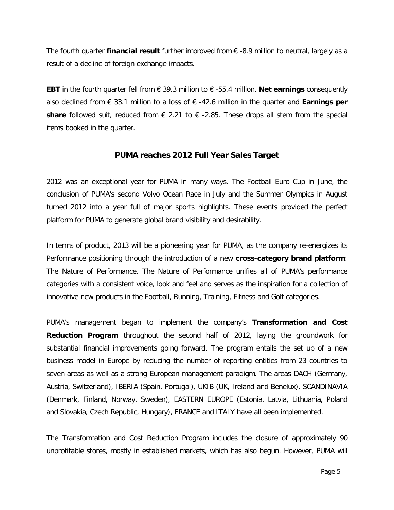The fourth quarter **financial result** further improved from € -8.9 million to neutral, largely as a result of a decline of foreign exchange impacts.

**EBT** in the fourth quarter fell from € 39.3 million to € -55.4 million. **Net earnings** consequently also declined from € 33.1 million to a loss of € -42.6 million in the quarter and **Earnings per share** followed suit, reduced from  $\epsilon$  2.21 to  $\epsilon$  -2.85. These drops all stem from the special items booked in the quarter.

## **PUMA reaches 2012 Full Year Sales Target**

2012 was an exceptional year for PUMA in many ways. The Football Euro Cup in June, the conclusion of PUMA's second Volvo Ocean Race in July and the Summer Olympics in August turned 2012 into a year full of major sports highlights. These events provided the perfect platform for PUMA to generate global brand visibility and desirability.

In terms of product, 2013 will be a pioneering year for PUMA, as the company re-energizes its Performance positioning through the introduction of a new **cross-category brand platform**: The Nature of Performance. The Nature of Performance unifies all of PUMA's performance categories with a consistent voice, look and feel and serves as the inspiration for a collection of innovative new products in the Football, Running, Training, Fitness and Golf categories.

PUMA's management began to implement the company's **Transformation and Cost Reduction Program** throughout the second half of 2012, laying the groundwork for substantial financial improvements going forward. The program entails the set up of a new business model in Europe by reducing the number of reporting entities from 23 countries to seven areas as well as a strong European management paradigm. The areas DACH (Germany, Austria, Switzerland), IBERIA (Spain, Portugal), UKIB (UK, Ireland and Benelux), SCANDINAVIA (Denmark, Finland, Norway, Sweden), EASTERN EUROPE (Estonia, Latvia, Lithuania, Poland and Slovakia, Czech Republic, Hungary), FRANCE and ITALY have all been implemented.

The Transformation and Cost Reduction Program includes the closure of approximately 90 unprofitable stores, mostly in established markets, which has also begun. However, PUMA will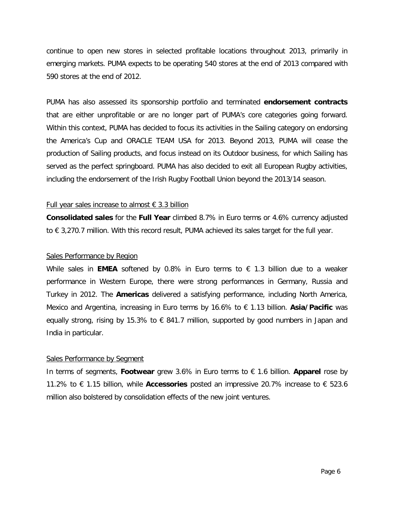continue to open new stores in selected profitable locations throughout 2013, primarily in emerging markets. PUMA expects to be operating 540 stores at the end of 2013 compared with 590 stores at the end of 2012.

PUMA has also assessed its sponsorship portfolio and terminated **endorsement contracts** that are either unprofitable or are no longer part of PUMA's core categories going forward. Within this context, PUMA has decided to focus its activities in the Sailing category on endorsing the America's Cup and ORACLE TEAM USA for 2013. Beyond 2013, PUMA will cease the production of Sailing products, and focus instead on its Outdoor business, for which Sailing has served as the perfect springboard. PUMA has also decided to exit all European Rugby activities, including the endorsement of the Irish Rugby Football Union beyond the 2013/14 season.

#### Full year sales increase to almost  $\epsilon$  3.3 billion

**Consolidated sales** for the **Full Year** climbed 8.7% in Euro terms or 4.6% currency adjusted to € 3,270.7 million. With this record result, PUMA achieved its sales target for the full year.

#### Sales Performance by Region

While sales in **EMEA** softened by 0.8% in Euro terms to  $\epsilon$  1.3 billion due to a weaker performance in Western Europe, there were strong performances in Germany, Russia and Turkey in 2012. The **Americas** delivered a satisfying performance, including North America, Mexico and Argentina, increasing in Euro terms by 16.6% to € 1.13 billion. **Asia/Pacific** was equally strong, rising by 15.3% to  $\epsilon$  841.7 million, supported by good numbers in Japan and India in particular.

#### Sales Performance by Segment

In terms of segments, **Footwear** grew 3.6% in Euro terms to € 1.6 billion. **Apparel** rose by 11.2% to € 1.15 billion, while **Accessories** posted an impressive 20.7% increase to € 523.6 million also bolstered by consolidation effects of the new joint ventures.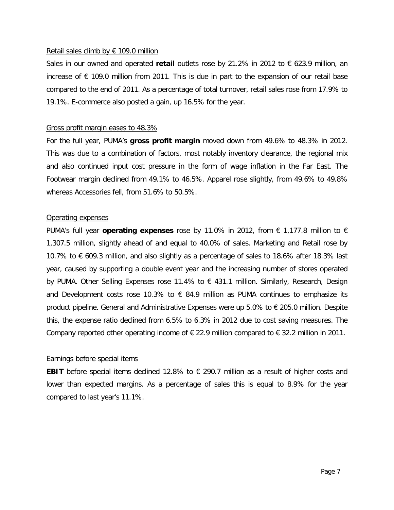#### Retail sales climb by  $\epsilon$  109.0 million

Sales in our owned and operated **retail** outlets rose by 21.2% in 2012 to € 623.9 million, an increase of  $\epsilon$  109.0 million from 2011. This is due in part to the expansion of our retail base compared to the end of 2011. As a percentage of total turnover, retail sales rose from 17.9% to 19.1%. E-commerce also posted a gain, up 16.5% for the year.

#### Gross profit margin eases to 48.3%

For the full year, PUMA's **gross profit margin** moved down from 49.6% to 48.3% in 2012. This was due to a combination of factors, most notably inventory clearance, the regional mix and also continued input cost pressure in the form of wage inflation in the Far East. The Footwear margin declined from 49.1% to 46.5%. Apparel rose slightly, from 49.6% to 49.8% whereas Accessories fell, from 51.6% to 50.5%.

#### Operating expenses

PUMA's full year **operating expenses** rose by 11.0% in 2012, from € 1,177.8 million to € 1,307.5 million, slightly ahead of and equal to 40.0% of sales. Marketing and Retail rose by 10.7% to € 609.3 million, and also slightly as a percentage of sales to 18.6% after 18.3% last year, caused by supporting a double event year and the increasing number of stores operated by PUMA. Other Selling Expenses rose 11.4% to € 431.1 million. Similarly, Research, Design and Development costs rose 10.3% to  $\epsilon$  84.9 million as PUMA continues to emphasize its product pipeline. General and Administrative Expenses were up 5.0% to € 205.0 million. Despite this, the expense ratio declined from 6.5% to 6.3% in 2012 due to cost saving measures. The Company reported other operating income of  $\epsilon$  22.9 million compared to  $\epsilon$  32.2 million in 2011.

#### Earnings before special items

**EBIT** before special items declined 12.8% to € 290.7 million as a result of higher costs and lower than expected margins. As a percentage of sales this is equal to 8.9% for the year compared to last year's 11.1%.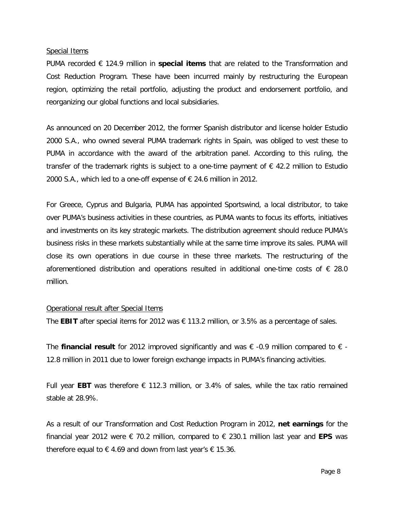#### Special Items

PUMA recorded € 124.9 million in **special items** that are related to the Transformation and Cost Reduction Program. These have been incurred mainly by restructuring the European region, optimizing the retail portfolio, adjusting the product and endorsement portfolio, and reorganizing our global functions and local subsidiaries.

As announced on 20 December 2012, the former Spanish distributor and license holder Estudio 2000 S.A., who owned several PUMA trademark rights in Spain, was obliged to vest these to PUMA in accordance with the award of the arbitration panel. According to this ruling, the transfer of the trademark rights is subject to a one-time payment of  $\epsilon$  42.2 million to Estudio 2000 S.A., which led to a one-off expense of  $\epsilon$  24.6 million in 2012.

For Greece, Cyprus and Bulgaria, PUMA has appointed Sportswind, a local distributor, to take over PUMA's business activities in these countries, as PUMA wants to focus its efforts, initiatives and investments on its key strategic markets. The distribution agreement should reduce PUMA's business risks in these markets substantially while at the same time improve its sales. PUMA will close its own operations in due course in these three markets. The restructuring of the aforementioned distribution and operations resulted in additional one-time costs of  $\epsilon$  28.0 million.

#### Operational result after Special Items

The **EBIT** after special items for 2012 was  $\epsilon$  113.2 million, or 3.5% as a percentage of sales.

The **financial result** for 2012 improved significantly and was € -0.9 million compared to € - 12.8 million in 2011 due to lower foreign exchange impacts in PUMA's financing activities.

Full year **EBT** was therefore  $\epsilon$  112.3 million, or 3.4% of sales, while the tax ratio remained stable at 28.9%.

As a result of our Transformation and Cost Reduction Program in 2012, **net earnings** for the financial year 2012 were € 70.2 million, compared to € 230.1 million last year and **EPS** was therefore equal to  $\epsilon$  4.69 and down from last year's  $\epsilon$  15.36.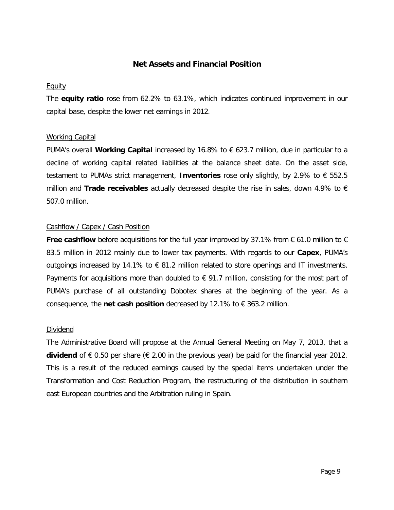## **Net Assets and Financial Position**

#### Equity

The **equity ratio** rose from 62.2% to 63.1%, which indicates continued improvement in our capital base, despite the lower net earnings in 2012.

## Working Capital

PUMA's overall Working Capital increased by 16.8% to € 623.7 million, due in particular to a decline of working capital related liabilities at the balance sheet date. On the asset side, testament to PUMAs strict management, **Inventories** rose only slightly, by 2.9% to € 552.5 million and **Trade receivables** actually decreased despite the rise in sales, down 4.9% to € 507.0 million.

#### Cashflow / Capex / Cash Position

**Free cashflow** before acquisitions for the full year improved by 37.1% from € 61.0 million to € 83.5 million in 2012 mainly due to lower tax payments. With regards to our **Capex**, PUMA's outgoings increased by 14.1% to € 81.2 million related to store openings and IT investments. Payments for acquisitions more than doubled to  $\epsilon$  91.7 million, consisting for the most part of PUMA's purchase of all outstanding Dobotex shares at the beginning of the year. As a consequence, the **net cash position** decreased by 12.1% to  $\epsilon$  363.2 million.

#### Dividend

The Administrative Board will propose at the Annual General Meeting on May 7, 2013, that a **dividend** of € 0.50 per share (€ 2.00 in the previous year) be paid for the financial year 2012. This is a result of the reduced earnings caused by the special items undertaken under the Transformation and Cost Reduction Program, the restructuring of the distribution in southern east European countries and the Arbitration ruling in Spain.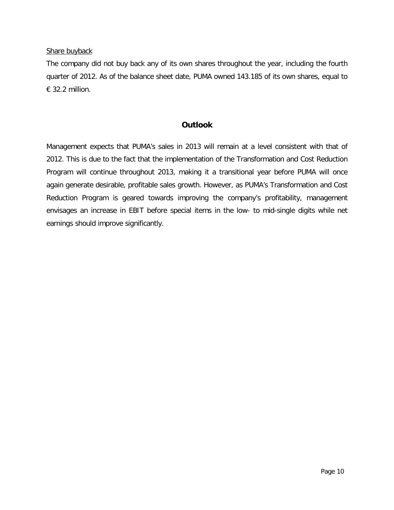Share buyback

The company did not buy back any of its own shares throughout the year, including the fourth quarter of 2012. As of the balance sheet date, PUMA owned 143.185 of its own shares, equal to € 32.2 million.

## **Outlook**

Management expects that PUMA's sales in 2013 will remain at a level consistent with that of 2012. This is due to the fact that the implementation of the Transformation and Cost Reduction Program will continue throughout 2013, making it a transitional year before PUMA will once again generate desirable, profitable sales growth. However, as PUMA's Transformation and Cost Reduction Program is geared towards improving the company's profitability, management envisages an increase in EBIT before special items in the low- to mid-single digits while net earnings should improve significantly.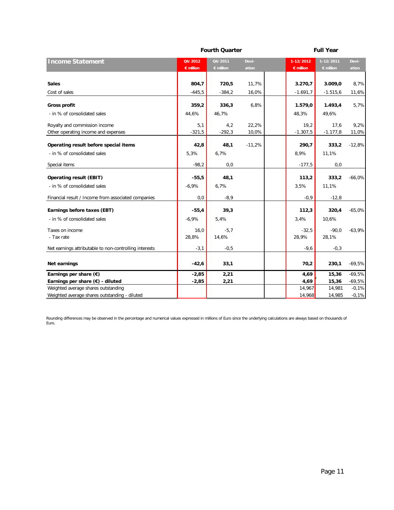|                                                                      |                    | <b>Fourth Quarter</b> |                |                    | <b>Full Year</b>   |               |  |  |
|----------------------------------------------------------------------|--------------------|-----------------------|----------------|--------------------|--------------------|---------------|--|--|
| <b>Income Statement</b>                                              | Q4/2012            | 04/2011               | Devi-          | 1-12/2012          | 1-12/2011          | Devi-         |  |  |
|                                                                      | $\epsilon$ million | $\epsilon$ million    | ation          | $\epsilon$ million | $\epsilon$ million | ation         |  |  |
| <b>Sales</b>                                                         | 804,7              | 720,5                 | 11,7%          | 3.270,7            | 3.009,0            | 8,7%          |  |  |
| Cost of sales                                                        | $-445,5$           | $-384,2$              | 16,0%          | $-1.691,7$         | $-1.515,6$         | 11,6%         |  |  |
| <b>Gross profit</b>                                                  | 359,2              | 336,3                 | 6,8%           | 1.579,0            | 1.493,4            | 5,7%          |  |  |
| - in % of consolidated sales                                         | 44,6%              | 46,7%                 |                | 48,3%              | 49,6%              |               |  |  |
| Royalty and commission income<br>Other operating income and expenses | 5,1<br>$-321,5$    | 4,2<br>$-292,3$       | 22,2%<br>10,0% | 19,2<br>$-1.307,5$ | 17,6<br>$-1.177,8$ | 9,2%<br>11,0% |  |  |
| Operating result before special items                                | 42,8               | 48,1                  | $-11,2%$       | 290,7              | 333,2              | $-12,8%$      |  |  |
| - in % of consolidated sales                                         | 5,3%               | 6,7%                  |                | 8,9%               | 11,1%              |               |  |  |
| Special items                                                        | $-98,2$            | 0,0                   |                | $-177,5$           | 0,0                |               |  |  |
| <b>Operating result (EBIT)</b>                                       | $-55,5$            | 48,1                  |                | 113,2              | 333,2              | $-66,0%$      |  |  |
| - in % of consolidated sales                                         | $-6,9%$            | 6,7%                  |                | 3,5%               | 11,1%              |               |  |  |
| Financial result / Income from associated companies                  | 0,0                | $-8,9$                |                | $-0,9$             | $-12,8$            |               |  |  |
| Earnings before taxes (EBT)                                          | $-55,4$            | 39,3                  |                | 112,3              | 320,4              | $-65,0%$      |  |  |
| - in % of consolidated sales                                         | $-6,9%$            | 5,4%                  |                | 3,4%               | 10,6%              |               |  |  |
| Taxes on income<br>- Tax rate                                        | 16,0<br>28,8%      | $-5,7$<br>14,6%       |                | $-32,5$<br>28,9%   | $-90,0$<br>28,1%   | $-63,9%$      |  |  |
| Net earnings attributable to non-controlling interests               | $-3,1$             | $-0,5$                |                | $-9,6$             | $-0,3$             |               |  |  |
| Net earnings                                                         | $-42,6$            | 33,1                  |                | 70,2               | 230,1              | $-69,5%$      |  |  |
| Earnings per share $(\epsilon)$                                      | $-2,85$            | 2,21                  |                | 4,69               | 15,36              | $-69,5%$      |  |  |
| Earnings per share $(\epsilon)$ - diluted                            | $-2,85$            | 2,21                  |                | 4,69               | 15,36              | $-69,5%$      |  |  |
| Weighted average shares outstanding                                  |                    |                       |                | 14,967             | 14,981             | $-0,1%$       |  |  |
| Weighted average shares outstanding - diluted                        |                    |                       |                | 14,968             | 14,985             | $-0,1%$       |  |  |

Rounding differences may be observed in the percentage and numerical values expressed in millions of Euro since the underlying calculations are always based on thousands of Euro.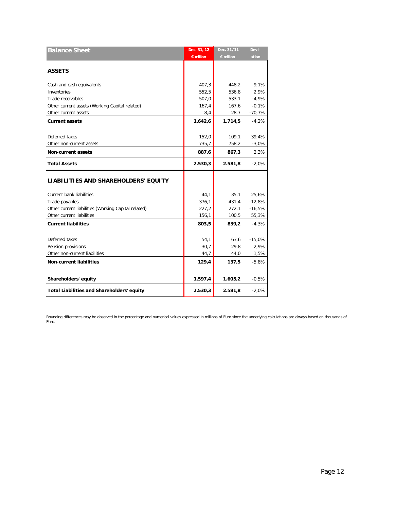| <b>Balance Sheet</b>                                | Dec. 31,'12        | Dec. 31,'11 | Devi-    |
|-----------------------------------------------------|--------------------|-------------|----------|
|                                                     | $\epsilon$ million | € million   | ation    |
|                                                     |                    |             |          |
| <b>ASSETS</b>                                       |                    |             |          |
| Cash and cash equivalents                           | 407,3              | 448,2       | $-9,1%$  |
| Inventories                                         | 552,5              | 536,8       | 2,9%     |
| Trade receivables                                   | 507,0              | 533,1       | $-4,9%$  |
| Other current assets (Working Capital related)      | 167,4              | 167,6       | $-0,1%$  |
| Other current assets                                | 8,4                | 28,7        | $-70,7%$ |
| <b>Current assets</b>                               | 1.642,6            | 1.714, 5    | $-4,2%$  |
|                                                     |                    |             |          |
| Deferred taxes                                      | 152,0              | 109,1       | 39,4%    |
| Other non-current assets                            | 735,7              | 758,2       | $-3,0%$  |
| <b>Non-current assets</b>                           | 887,6              | 867,3       | 2,3%     |
| <b>Total Assets</b>                                 | 2.530,3            | 2.581,8     | $-2,0%$  |
| LIABILITIES AND SHAREHOLDERS' EQUITY                |                    |             |          |
| <b>Current bank liabilities</b>                     | 44,1               | 35,1        | 25,6%    |
| Trade payables                                      | 376,1              | 431,4       | $-12,8%$ |
| Other current liabilities (Working Capital related) | 227,2              | 272,1       | $-16,5%$ |
| Other current liabilities                           | 156,1              | 100,5       | 55,3%    |
| <b>Current liabilities</b>                          | 803,5              | 839,2       | $-4,3%$  |
|                                                     |                    |             |          |
| Deferred taxes                                      | 54,1               | 63,6        | $-15,0%$ |
| Pension provisions                                  | 30,7               | 29,8        | 2,9%     |
| Other non-current liabilities                       | 44,7               | 44,0        | 1,5%     |
| <b>Non-current liabilities</b>                      | 129,4              | 137,5       | $-5,8%$  |
|                                                     |                    |             |          |
| Shareholders' equity                                | 1.597,4            | 1.605,2     | $-0,5%$  |
| <b>Total Liabilities and Shareholders' equity</b>   | 2.530,3            | 2.581,8     | $-2,0%$  |

Rounding differences may be observed in the percentage and numerical values expressed in millions of Euro since the underlying calculations are always based on thousands of Euro.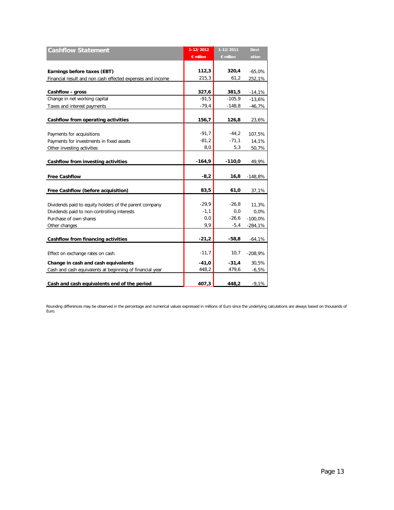| <b>Cashflow Statement</b>                                  | 1-12/2012          | 1-12/2011          | Devi-     |
|------------------------------------------------------------|--------------------|--------------------|-----------|
|                                                            | $\epsilon$ million | $\epsilon$ million | ation     |
|                                                            |                    |                    |           |
| Earnings before taxes (EBT)                                | 112,3              | 320,4              | $-65,0%$  |
| Financial result and non cash effected expenses and income | 215,3              | 61,2               | 252,1%    |
| Cashflow - gross                                           | 327,6              | 381,5              | $-14,1%$  |
| Change in net working capital                              | $-91,5$            | $-105.9$           | $-13,6%$  |
| Taxes and interest payments                                | $-79,4$            | $-148,8$           | -46,7%    |
|                                                            |                    |                    |           |
| Cashflow from operating activities                         | 156,7              | 126,8              | 23,6%     |
|                                                            |                    |                    |           |
| Payments for acquisitions                                  | $-91,7$            | $-44,2$            | 107,5%    |
| Payments for investments in fixed assets                   | $-81,2$            | $-71,1$            | 14,1%     |
| Other investing activities                                 | 8,0                | 5,3                | 50,7%     |
|                                                            |                    |                    |           |
| Cashflow from investing activities                         | $-164,9$           | $-110,0$           | 49,9%     |
|                                                            |                    |                    |           |
| <b>Free Cashflow</b>                                       | $-8,2$             | 16,8               | $-148.8%$ |
|                                                            |                    |                    |           |
| Free Cashflow (before acquisition)                         | 83,5               | 61,0               | 37,1%     |
|                                                            |                    |                    |           |
| Dividends paid to equity holders of the parent company     | $-29,9$            | $-26,8$            | 11,3%     |
| Dividends paid to non-controlling interests                | $-1,1$             | 0, 0               | 0.0%      |
| Purchase of own shares                                     | 0,0                | $-26,6$            | $-100,0%$ |
| Other changes                                              | 9,9                | $-5,4$             | $-284,1%$ |
|                                                            |                    |                    |           |
| Cashflow from financing activities                         | $-21,2$            | $-58,8$            | $-64,1%$  |
|                                                            |                    |                    |           |
| Effect on exchange rates on cash                           | $-11,7$            | 10,7               | $-208,9%$ |
| Change in cash and cash equivalents                        | $-41,0$            | $-31,4$            | 30,5%     |
| Cash and cash equivalents at beginning of financial year   | 448,2              | 479,6              | $-6,5%$   |
|                                                            |                    |                    |           |
| Cash and cash equivalents end of the period                | 407,3              | 448,2              | $-9,1%$   |

Rounding differences may be observed in the percentage and numerical values expressed in millions of Euro since the underlying calculations are always based on thousands of Euro.